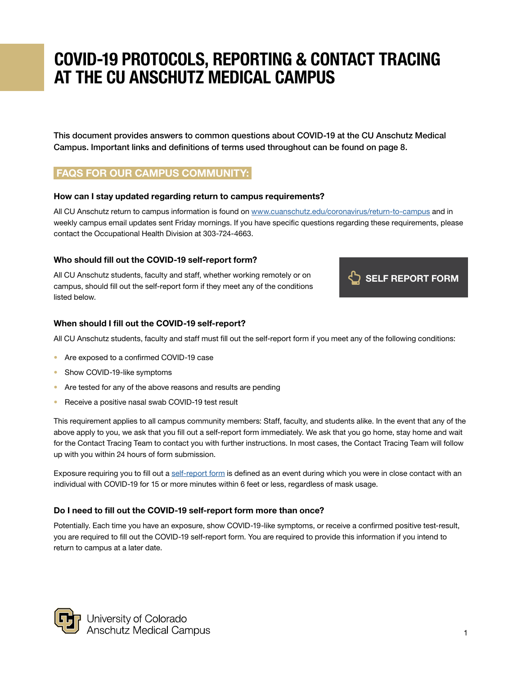This document provides answers to common questions about COVID-19 at the CU Anschutz Medical Campus. Important links and definitions of terms used throughout can be found on page 8.

# FAQS FOR OUR CAMPUS COMMUNITY:

#### How can I stay updated regarding return to campus requirements?

All CU Anschutz return to campus information is found on [www.cuanschutz.edu/coronavirus](https://www.cuanschutz.edu/coronavirus/return-to-campus)/return-to-campus and in weekly campus email updates sent Friday mornings. If you have specific questions regarding these requirements, please contact the Occupational Health Division at 303-724-4663.

# Who should fill out the COVID-19 self-report form?

All CU Anschutz students, faculty and staff, whether working remotely or on campus, should fill out the self-report form if they meet any of the conditions listed below.



#### When should I fill out the COVID-19 self-report?

All CU Anschutz students, faculty and staff must fill out the self-report form if you meet any of the following conditions:

- Are exposed to a confirmed COVID-19 case
- Show COVID-19-like symptoms
- Are tested for any of the above reasons and results are pending
- Receive a positive nasal swab COVID-19 test result

This requirement applies to all campus community members: Staff, faculty, and students alike. In the event that any of the above apply to you, we ask that you fill out a self-report form immediately. We ask that you go home, stay home and wait for the Contact Tracing Team to contact you with further instructions. In most cases, the Contact Tracing Team will follow up with you within 24 hours of form submission.

Exposure requiring you to fill out a [self-report form](https://ucdenverdata.formstack.com/forms/covid_form_copy) is defined as an event during which you were in close contact with an individual with COVID-19 for 15 or more minutes within 6 feet or less, regardless of mask usage.

# Do I need to fill out the COVID-19 self-report form more than once?

Potentially. Each time you have an exposure, show COVID-19-like symptoms, or receive a confirmed positive test-result, you are required to fill out the COVID-19 self-report form. You are required to provide this information if you intend to return to campus at a later date.

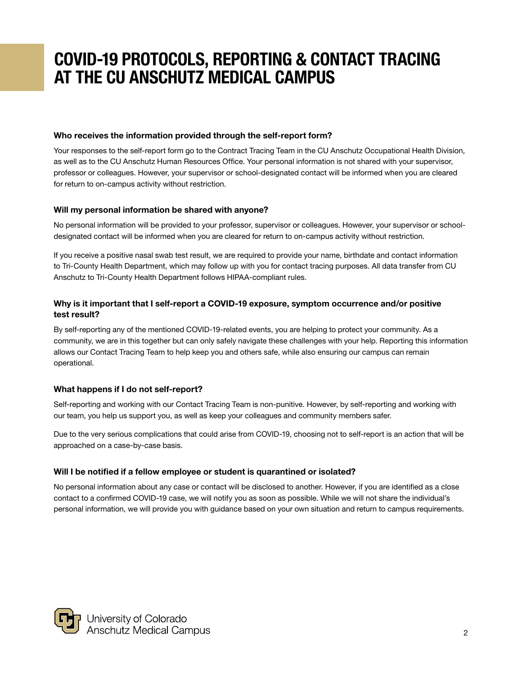#### Who receives the information provided through the self-report form?

Your responses to the self-report form go to the Contract Tracing Team in the CU Anschutz Occupational Health Division, as well as to the CU Anschutz Human Resources Office. Your personal information is not shared with your supervisor, professor or colleagues. However, your supervisor or school-designated contact will be informed when you are cleared for return to on-campus activity without restriction.

#### Will my personal information be shared with anyone?

No personal information will be provided to your professor, supervisor or colleagues. However, your supervisor or schooldesignated contact will be informed when you are cleared for return to on-campus activity without restriction.

If you receive a positive nasal swab test result, we are required to provide your name, birthdate and contact information to Tri-County Health Department, which may follow up with you for contact tracing purposes. All data transfer from CU Anschutz to Tri-County Health Department follows HIPAA-compliant rules.

# Why is it important that I self-report a COVID-19 exposure, symptom occurrence and/or positive test result?

By self-reporting any of the mentioned COVID-19-related events, you are helping to protect your community. As a community, we are in this together but can only safely navigate these challenges with your help. Reporting this information allows our Contact Tracing Team to help keep you and others safe, while also ensuring our campus can remain operational.

# What happens if I do not self-report?

Self-reporting and working with our Contact Tracing Team is non-punitive. However, by self-reporting and working with our team, you help us support you, as well as keep your colleagues and community members safer.

Due to the very serious complications that could arise from COVID-19, choosing not to self-report is an action that will be approached on a case-by-case basis.

# Will I be notified if a fellow employee or student is quarantined or isolated?

No personal information about any case or contact will be disclosed to another. However, if you are identified as a close contact to a confirmed COVID-19 case, we will notify you as soon as possible. While we will not share the individual's personal information, we will provide you with guidance based on your own situation and return to campus requirements.

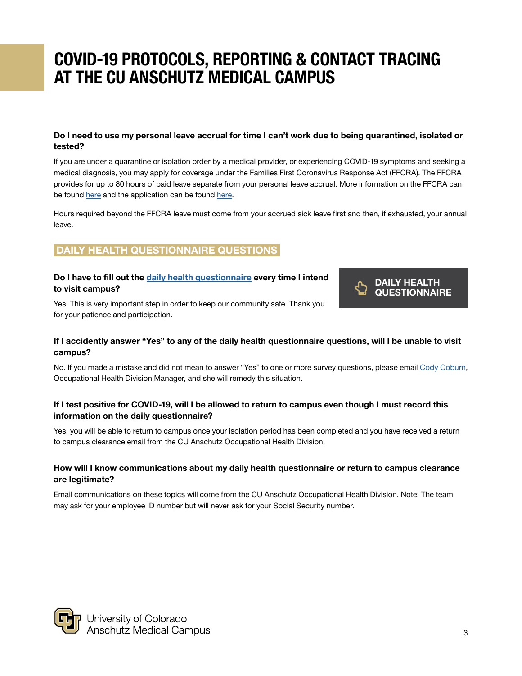# Do I need to use my personal leave accrual for time I can't work due to being quarantined, isolated or tested?

If you are under a quarantine or isolation order by a medical provider, or experiencing COVID-19 symptoms and seeking a medical diagnosis, you may apply for coverage under the Families First Coronavirus Response Act (FFCRA). The FFCRA provides for up to 80 hours of paid leave separate from your personal leave accrual. More information on the FFCRA can be found [here](https://ucdenverdata.formstack.com/forms/families_first_coronavirus_response_act_application_form) and the application can be found here.

Hours required beyond the FFCRA leave must come from your accrued sick leave first and then, if exhausted, your annual leave.

# DAILY HEALTH QUESTIONNAIRE QUESTIONS

# Do I have to fill out the [daily health questionnaire](https://covidcheckpoint.cuanschutz.edu/) every time I intend to visit campus?

Yes. This is very important step in order to keep our community safe. Thank you for your patience and participation.



# If I accidently answer "Yes" to any of the daily health questionnaire questions, will I be unable to visit campus?

No. If you made a mistake and did not mean to answer "Yes" to one or more survey questions, please email [Cody Coburn](mailto:cody.coburn%40cuanschutz.edu?subject=), Occupational Health Division Manager, and she will remedy this situation.

# If I test positive for COVID-19, will I be allowed to return to campus even though I must record this information on the daily questionnaire?

Yes, you will be able to return to campus once your isolation period has been completed and you have received a return to campus clearance email from the CU Anschutz Occupational Health Division.

# How will I know communications about my daily health questionnaire or return to campus clearance are legitimate?

Email communications on these topics will come from the CU Anschutz Occupational Health Division. Note: The team may ask for your employee ID number but will never ask for your Social Security number.

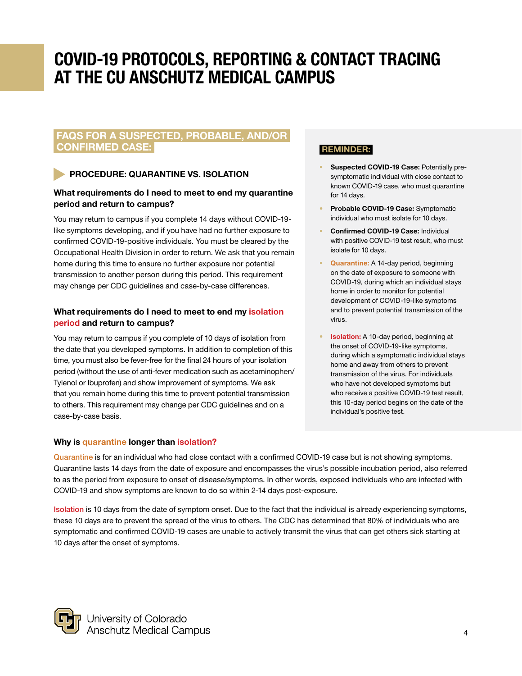# FAQS FOR A SUSPECTED, PROBABLE, AND/OR CONFIRMED CASE:

# PROCEDURE: QUARANTINE VS. ISOLATION

# What requirements do I need to meet to end my quarantine period and return to campus?

You may return to campus if you complete 14 days without COVID-19 like symptoms developing, and if you have had no further exposure to confirmed COVID-19-positive individuals. You must be cleared by the Occupational Health Division in order to return. We ask that you remain home during this time to ensure no further exposure nor potential transmission to another person during this period. This requirement may change per CDC guidelines and case-by-case differences.

# What requirements do I need to meet to end my isolation period and return to campus?

You may return to campus if you complete of 10 days of isolation from the date that you developed symptoms. In addition to completion of this time, you must also be fever-free for the final 24 hours of your isolation period (without the use of anti-fever medication such as acetaminophen/ Tylenol or Ibuprofen) and show improvement of symptoms. We ask that you remain home during this time to prevent potential transmission to others. This requirement may change per CDC guidelines and on a case-by-case basis.

# Why is quarantine longer than isolation?

# REMINDER:

- Suspected COVID-19 Case: Potentially presymptomatic individual with close contact to known COVID-19 case, who must quarantine for 14 days.
- Probable COVID-19 Case: Symptomatic individual who must isolate for 10 days.
- Confirmed COVID-19 Case: Individual with positive COVID-19 test result, who must isolate for 10 days.
- Quarantine: A 14-day period, beginning on the date of exposure to someone with COVID-19, during which an individual stays home in order to monitor for potential development of COVID-19-like symptoms and to prevent potential transmission of the virus.
- **Isolation:** A 10-day period, beginning at the onset of COVID-19-like symptoms, during which a symptomatic individual stays home and away from others to prevent transmission of the virus. For individuals who have not developed symptoms but who receive a positive COVID-19 test result, this 10-day period begins on the date of the individual's positive test.

Quarantine is for an individual who had close contact with a confirmed COVID-19 case but is not showing symptoms. Quarantine lasts 14 days from the date of exposure and encompasses the virus's possible incubation period, also referred to as the period from exposure to onset of disease/symptoms. In other words, exposed individuals who are infected with COVID-19 and show symptoms are known to do so within 2-14 days post-exposure.

Isolation is 10 days from the date of symptom onset. Due to the fact that the individual is already experiencing symptoms, these 10 days are to prevent the spread of the virus to others. The CDC has determined that 80% of individuals who are symptomatic and confirmed COVID-19 cases are unable to actively transmit the virus that can get others sick starting at 10 days after the onset of symptoms.

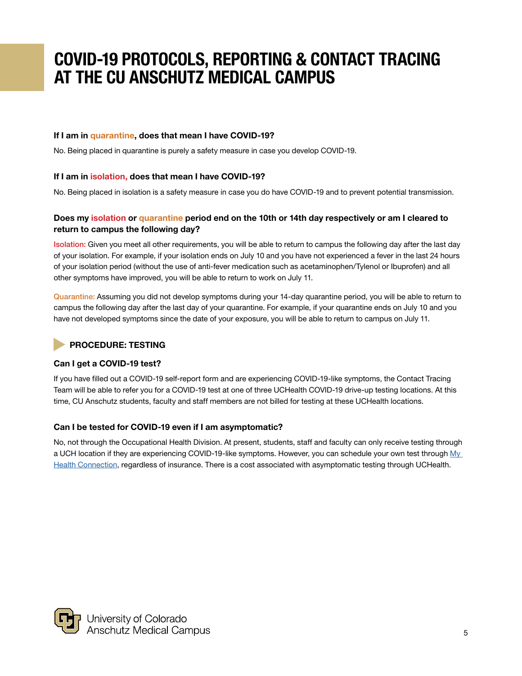# If I am in quarantine, does that mean I have COVID-19?

No. Being placed in quarantine is purely a safety measure in case you develop COVID-19.

# If I am in isolation, does that mean I have COVID-19?

No. Being placed in isolation is a safety measure in case you do have COVID-19 and to prevent potential transmission.

# Does my isolation or quarantine period end on the 10th or 14th day respectively or am I cleared to return to campus the following day?

Isolation: Given you meet all other requirements, you will be able to return to campus the following day after the last day of your isolation. For example, if your isolation ends on July 10 and you have not experienced a fever in the last 24 hours of your isolation period (without the use of anti-fever medication such as acetaminophen/Tylenol or Ibuprofen) and all other symptoms have improved, you will be able to return to work on July 11.

Quarantine: Assuming you did not develop symptoms during your 14-day quarantine period, you will be able to return to campus the following day after the last day of your quarantine. For example, if your quarantine ends on July 10 and you have not developed symptoms since the date of your exposure, you will be able to return to campus on July 11.

# PROCEDURE: TESTING

# Can I get a COVID-19 test?

If you have filled out a COVID-19 self-report form and are experiencing COVID-19-like symptoms, the Contact Tracing Team will be able to refer you for a COVID-19 test at one of three UCHealth COVID-19 drive-up testing locations. At this time, CU Anschutz students, faculty and staff members are not billed for testing at these UCHealth locations.

# Can I be tested for COVID-19 even if I am asymptomatic?

No, not through the Occupational Health Division. At present, students, staff and faculty can only receive testing through a UCH location if they are experiencing COVID-19-like symptoms. However, you can schedule your own test through My [Health Connection,](https://www.uchealth.org/access-my-health-connection) regardless of insurance. There is a cost associated with asymptomatic testing through UCHealth.

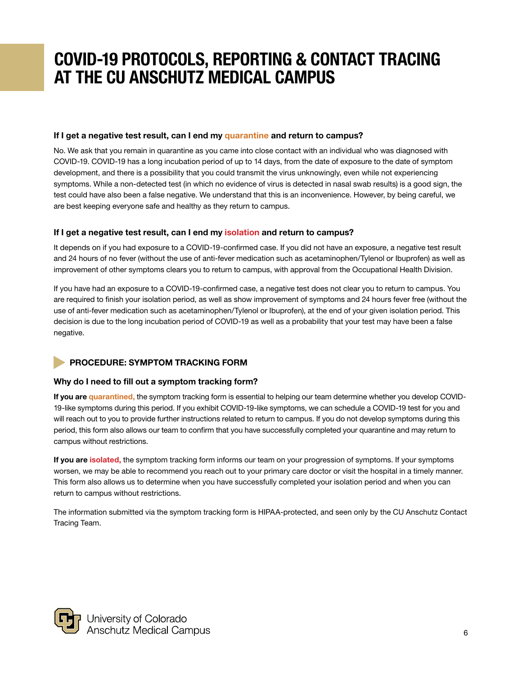# If I get a negative test result, can I end my quarantine and return to campus?

No. We ask that you remain in quarantine as you came into close contact with an individual who was diagnosed with COVID-19. COVID-19 has a long incubation period of up to 14 days, from the date of exposure to the date of symptom development, and there is a possibility that you could transmit the virus unknowingly, even while not experiencing symptoms. While a non-detected test (in which no evidence of virus is detected in nasal swab results) is a good sign, the test could have also been a false negative. We understand that this is an inconvenience. However, by being careful, we are best keeping everyone safe and healthy as they return to campus.

# If I get a negative test result, can I end my isolation and return to campus?

It depends on if you had exposure to a COVID-19-confirmed case. If you did not have an exposure, a negative test result and 24 hours of no fever (without the use of anti-fever medication such as acetaminophen/Tylenol or Ibuprofen) as well as improvement of other symptoms clears you to return to campus, with approval from the Occupational Health Division.

If you have had an exposure to a COVID-19-confirmed case, a negative test does not clear you to return to campus. You are required to finish your isolation period, as well as show improvement of symptoms and 24 hours fever free (without the use of anti-fever medication such as acetaminophen/Tylenol or Ibuprofen), at the end of your given isolation period. This decision is due to the long incubation period of COVID-19 as well as a probability that your test may have been a false negative.

# PROCEDURE: SYMPTOM TRACKING FORM

# Why do I need to fill out a symptom tracking form?

If you are quarantined, the symptom tracking form is essential to helping our team determine whether you develop COVID-19-like symptoms during this period. If you exhibit COVID-19-like symptoms, we can schedule a COVID-19 test for you and will reach out to you to provide further instructions related to return to campus. If you do not develop symptoms during this period, this form also allows our team to confirm that you have successfully completed your quarantine and may return to campus without restrictions.

If you are isolated, the symptom tracking form informs our team on your progression of symptoms. If your symptoms worsen, we may be able to recommend you reach out to your primary care doctor or visit the hospital in a timely manner. This form also allows us to determine when you have successfully completed your isolation period and when you can return to campus without restrictions.

The information submitted via the symptom tracking form is HIPAA-protected, and seen only by the CU Anschutz Contact Tracing Team.

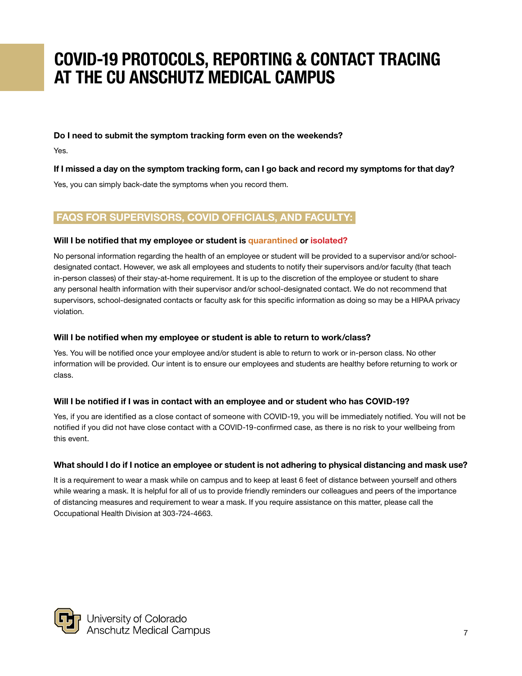Do I need to submit the symptom tracking form even on the weekends?

Yes.

# If I missed a day on the symptom tracking form, can I go back and record my symptoms for that day?

Yes, you can simply back-date the symptoms when you record them.

# FAQS FOR SUPERVISORS, COVID OFFICIALS, AND FACULTY:

# Will I be notified that my employee or student is quarantined or isolated?

No personal information regarding the health of an employee or student will be provided to a supervisor and/or schooldesignated contact. However, we ask all employees and students to notify their supervisors and/or faculty (that teach in-person classes) of their stay-at-home requirement. It is up to the discretion of the employee or student to share any personal health information with their supervisor and/or school-designated contact. We do not recommend that supervisors, school-designated contacts or faculty ask for this specific information as doing so may be a HIPAA privacy violation.

# Will I be notified when my employee or student is able to return to work/class?

Yes. You will be notified once your employee and/or student is able to return to work or in-person class. No other information will be provided. Our intent is to ensure our employees and students are healthy before returning to work or class.

# Will I be notified if I was in contact with an employee and or student who has COVID-19?

Yes, if you are identified as a close contact of someone with COVID-19, you will be immediately notified. You will not be notified if you did not have close contact with a COVID-19-confirmed case, as there is no risk to your wellbeing from this event.

# What should I do if I notice an employee or student is not adhering to physical distancing and mask use?

It is a requirement to wear a mask while on campus and to keep at least 6 feet of distance between yourself and others while wearing a mask. It is helpful for all of us to provide friendly reminders our colleagues and peers of the importance of distancing measures and requirement to wear a mask. If you require assistance on this matter, please call the Occupational Health Division at 303-724-4663.